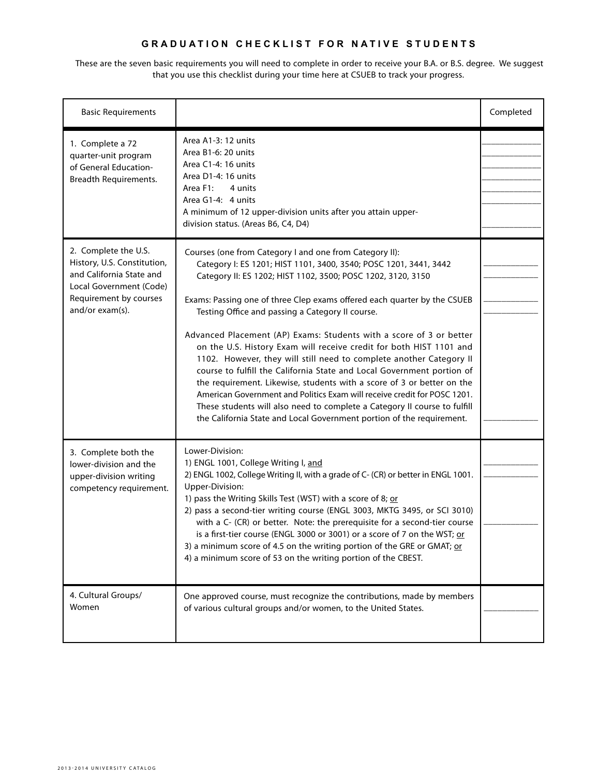## **G r a d u a t i o n c h e c k l i s t F OR NATI V E STUDENTS**

These are the seven basic requirements you will need to complete in order to receive your B.A. or B.S. degree. We suggest that you use this checklist during your time here at CSUEB to track your progress.

| <b>Basic Requirements</b>                                                                                                                               |                                                                                                                                                                                                                                                                                                                                                                                                                                                                                                                                                                                                                                                                                                                                                                                                                                                                                                                                         | Completed |
|---------------------------------------------------------------------------------------------------------------------------------------------------------|-----------------------------------------------------------------------------------------------------------------------------------------------------------------------------------------------------------------------------------------------------------------------------------------------------------------------------------------------------------------------------------------------------------------------------------------------------------------------------------------------------------------------------------------------------------------------------------------------------------------------------------------------------------------------------------------------------------------------------------------------------------------------------------------------------------------------------------------------------------------------------------------------------------------------------------------|-----------|
| 1. Complete a 72<br>quarter-unit program<br>of General Education-<br>Breadth Requirements.                                                              | Area A1-3: 12 units<br>Area B1-6: 20 units<br>Area C1-4: 16 units<br>Area D1-4: 16 units<br>Area F1:<br>4 units<br>Area G1-4: 4 units<br>A minimum of 12 upper-division units after you attain upper-<br>division status. (Areas B6, C4, D4)                                                                                                                                                                                                                                                                                                                                                                                                                                                                                                                                                                                                                                                                                            |           |
| 2. Complete the U.S.<br>History, U.S. Constitution,<br>and California State and<br>Local Government (Code)<br>Requirement by courses<br>and/or exam(s). | Courses (one from Category I and one from Category II):<br>Category I: ES 1201; HIST 1101, 3400, 3540; POSC 1201, 3441, 3442<br>Category II: ES 1202; HIST 1102, 3500; POSC 1202, 3120, 3150<br>Exams: Passing one of three Clep exams offered each quarter by the CSUEB<br>Testing Office and passing a Category II course.<br>Advanced Placement (AP) Exams: Students with a score of 3 or better<br>on the U.S. History Exam will receive credit for both HIST 1101 and<br>1102. However, they will still need to complete another Category II<br>course to fulfill the California State and Local Government portion of<br>the requirement. Likewise, students with a score of 3 or better on the<br>American Government and Politics Exam will receive credit for POSC 1201.<br>These students will also need to complete a Category II course to fulfill<br>the California State and Local Government portion of the requirement. |           |
| 3. Complete both the<br>lower-division and the<br>upper-division writing<br>competency requirement.                                                     | Lower-Division:<br>1) ENGL 1001, College Writing I, and<br>2) ENGL 1002, College Writing II, with a grade of C- (CR) or better in ENGL 1001.<br>Upper-Division:<br>1) pass the Writing Skills Test (WST) with a score of 8; or<br>2) pass a second-tier writing course (ENGL 3003, MKTG 3495, or SCI 3010)<br>with a C- (CR) or better. Note: the prerequisite for a second-tier course<br>is a first-tier course (ENGL 3000 or 3001) or a score of 7 on the WST; or<br>3) a minimum score of 4.5 on the writing portion of the GRE or GMAT; or<br>4) a minimum score of 53 on the writing portion of the CBEST.                                                                                                                                                                                                                                                                                                                        |           |
| 4. Cultural Groups/<br>Women                                                                                                                            | One approved course, must recognize the contributions, made by members<br>of various cultural groups and/or women, to the United States.                                                                                                                                                                                                                                                                                                                                                                                                                                                                                                                                                                                                                                                                                                                                                                                                |           |